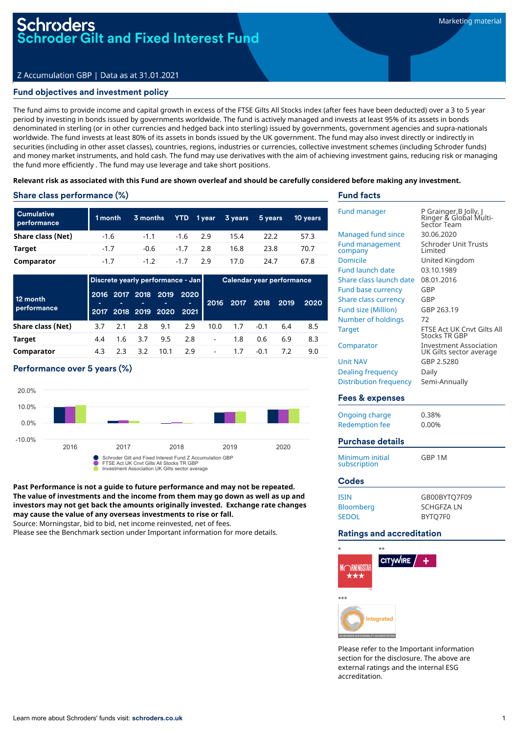# Z Accumulation GBP | Data as at 31.01.2021

#### Fund objectives and investment policy

The fund aims to provide income and capital growth in excess of the FTSE Gilts All Stocks index (after fees have been deducted) over a 3 to 5 year period by investing in bonds issued by governments worldwide. The fund is actively managed and invests at least 95% of its assets in bonds denominated in sterling (or in other currencies and hedged back into sterling) issued by governments, government agencies and supra-nationals worldwide. The fund invests at least 80% of its assets in bonds issued by the UK government. The fund may also invest directly or indirectly in securities (including in other asset classes), countries, regions, industries or currencies, collective investment schemes (including Schroder funds) and money market instruments, and hold cash. The fund may use derivatives with the aim of achieving investment gains, reducing risk or managing the fund more efficiently . The fund may use leverage and take short positions.

#### Relevant risk as associated with this Fund are shown overleaf and should be carefully considered before making any investment.

# Share class performance (%)

| <b>Cumulative</b><br>performance | 1 month | 3 months |            | YTD 1year 3years 5years |      | 10 vears |
|----------------------------------|---------|----------|------------|-------------------------|------|----------|
| Share class (Net)                | $-1.6$  | $-1.1$   | $-1.6$ 2.9 | 15.4                    | 22.2 | 57.3     |
| Target                           | $-1.7$  | $-0.6$   | $-1.7$ 2.8 | 16.8                    | 23.8 | 70.7     |
| Comparator                       | $-1.7$  | $-12$    | $-17$ 29   | 17.0                    | 24.7 | 67.8     |

|                         | Discrete yearly performance - Jan |     |                |                                  |           | Calendar year performance |                |        |      |      |
|-------------------------|-----------------------------------|-----|----------------|----------------------------------|-----------|---------------------------|----------------|--------|------|------|
| 12 month<br>performance |                                   |     | 2016 2017 2018 | 2019<br>2017 2018 2019 2020 2021 | 2020<br>- |                           | 2016 2017 2018 |        | 2019 | 2020 |
| Share class (Net)       | 3.7                               | 2.1 | 2.8            | 9.1                              | 2.9       | 10.0                      | 1.7            | $-0.1$ | 6.4  | 8.5  |
| Target                  | 4.4                               | 1.6 | 3.7            | 9.5                              | 2.8       | $\blacksquare$            | 1.8            | 0.6    | 6.9  | 8.3  |
| Comparator              | 4.3                               | 2.3 | 3.2            | 10.1                             | 2.9       | $\overline{\phantom{a}}$  | 1.7            | $-0.1$ |      | 9.0  |

#### Performance over 5 years (%)



**Past Performance is not a guide to future performance and may not be repeated. The value of investments and the income from them may go down as well as up and investors may not get back the amounts originally invested. Exchange rate changes may cause the value of any overseas investments to rise or fall.**

Source: Morningstar, bid to bid, net income reinvested, net of fees.

Please see the Benchmark section under Important information for more details.

# Fund facts

| <b>Fund manager</b>               | P Grainger,B Jolly, J<br>Ringer & Global Multi-<br>Sector Team |
|-----------------------------------|----------------------------------------------------------------|
| <b>Managed fund since</b>         | 30.06.2020                                                     |
| <b>Fund management</b><br>company | <b>Schroder Unit Trusts</b><br>I imited                        |
| <b>Domicile</b>                   | United Kingdom                                                 |
| <b>Fund launch date</b>           | 03.10.1989                                                     |
| Share class launch date           | 08.01.2016                                                     |
| <b>Fund base currency</b>         | GBP                                                            |
| Share class currency              | GBP                                                            |
| <b>Fund size (Million)</b>        | GBP 263.19                                                     |
| Number of holdings                | 72                                                             |
| <b>Target</b>                     | FTSE Act UK Cnvt Gilts All<br><b>Stocks TR GBP</b>             |
| Comparator                        | <b>Investment Association</b><br>UK Gilts sector average       |
| <b>Unit NAV</b>                   | GBP 2.5280                                                     |
| Dealing frequency                 | Daily                                                          |
| <b>Distribution frequency</b>     | Semi-Annually                                                  |
| Fees & expenses                   |                                                                |
| Ongoing charge                    | 0.38%                                                          |
| <b>Redemption fee</b>             | 0.00%                                                          |
| <b>Purchase details</b>           |                                                                |
| Minimum initial<br>subscription   | GBP 1M                                                         |
| <b>Codes</b>                      |                                                                |
| <b>ISIN</b>                       | GB00BYTQ7F09                                                   |
| <b>Bloomberg</b>                  | <b>SCHGFZALN</b>                                               |
| <b>SEDOL</b>                      | BYTO7F0                                                        |

#### Ratings and accreditation



Please refer to the Important information section for the disclosure. The above are external ratings and the internal ESG accreditation.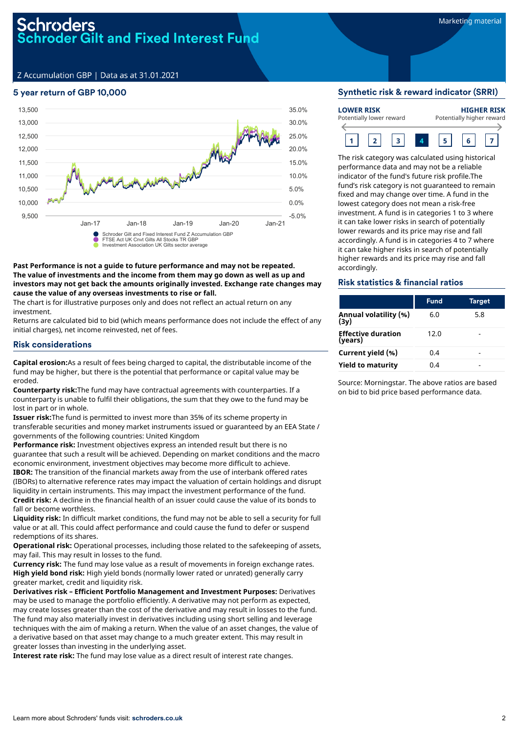# roders oder Gilt and Fixed Interest Fund

Z Accumulation GBP | Data as at 31.01.2021

#### 5 year return of GBP 10,000



#### **Past Performance is not a guide to future performance and may not be repeated. The value of investments and the income from them may go down as well as up and investors may not get back the amounts originally invested. Exchange rate changes may cause the value of any overseas investments to rise or fall.**

The chart is for illustrative purposes only and does not reflect an actual return on any investment.

Returns are calculated bid to bid (which means performance does not include the effect of any initial charges), net income reinvested, net of fees.

#### Risk considerations

**Capital erosion:**As a result of fees being charged to capital, the distributable income of the fund may be higher, but there is the potential that performance or capital value may be eroded.

**Counterparty risk:**The fund may have contractual agreements with counterparties. If a counterparty is unable to fulfil their obligations, the sum that they owe to the fund may be lost in part or in whole.

**Issuer risk:**The fund is permitted to invest more than 35% of its scheme property in transferable securities and money market instruments issued or guaranteed by an EEA State / governments of the following countries: United Kingdom

**Performance risk:** Investment objectives express an intended result but there is no guarantee that such a result will be achieved. Depending on market conditions and the macro economic environment, investment objectives may become more difficult to achieve.

**IBOR:** The transition of the financial markets away from the use of interbank offered rates (IBORs) to alternative reference rates may impact the valuation of certain holdings and disrupt liquidity in certain instruments. This may impact the investment performance of the fund. **Credit risk:** A decline in the financial health of an issuer could cause the value of its bonds to fall or become worthless.

**Liquidity risk:** In difficult market conditions, the fund may not be able to sell a security for full value or at all. This could affect performance and could cause the fund to defer or suspend redemptions of its shares.

**Operational risk:** Operational processes, including those related to the safekeeping of assets, may fail. This may result in losses to the fund.

**Currency risk:** The fund may lose value as a result of movements in foreign exchange rates. **High yield bond risk:** High yield bonds (normally lower rated or unrated) generally carry greater market, credit and liquidity risk.

**Derivatives risk – Efficient Portfolio Management and Investment Purposes:** Derivatives may be used to manage the portfolio efficiently. A derivative may not perform as expected, may create losses greater than the cost of the derivative and may result in losses to the fund. The fund may also materially invest in derivatives including using short selling and leverage techniques with the aim of making a return. When the value of an asset changes, the value of a derivative based on that asset may change to a much greater extent. This may result in greater losses than investing in the underlying asset.

**Interest rate risk:** The fund may lose value as a direct result of interest rate changes.

#### Synthetic risk & reward indicator (SRRI)

| <b>LOWER RISK</b>        |  |  |  | <b>HIGHER RISK</b>        |  |  |  |  |
|--------------------------|--|--|--|---------------------------|--|--|--|--|
| Potentially lower reward |  |  |  | Potentially higher reward |  |  |  |  |
|                          |  |  |  |                           |  |  |  |  |

The risk category was calculated using historical performance data and may not be a reliable indicator of the fund's future risk profile.The fund's risk category is not guaranteed to remain fixed and may change over time. A fund in the lowest category does not mean a risk-free investment. A fund is in categories 1 to 3 where it can take lower risks in search of potentially lower rewards and its price may rise and fall accordingly. A fund is in categories 4 to 7 where it can take higher risks in search of potentially higher rewards and its price may rise and fall accordingly.

#### Risk statistics & financial ratios

|                                               | <b>Fund</b> | Target |
|-----------------------------------------------|-------------|--------|
| Annual volatility (%)<br>(3y)                 | 6.0         | 5.8    |
| <b>Effective duration</b><br>( <b>years</b> ) | 12.0        |        |
| Current yield (%)                             | 0.4         |        |
| <b>Yield to maturity</b>                      | 0.4         |        |

Source: Morningstar. The above ratios are based on bid to bid price based performance data.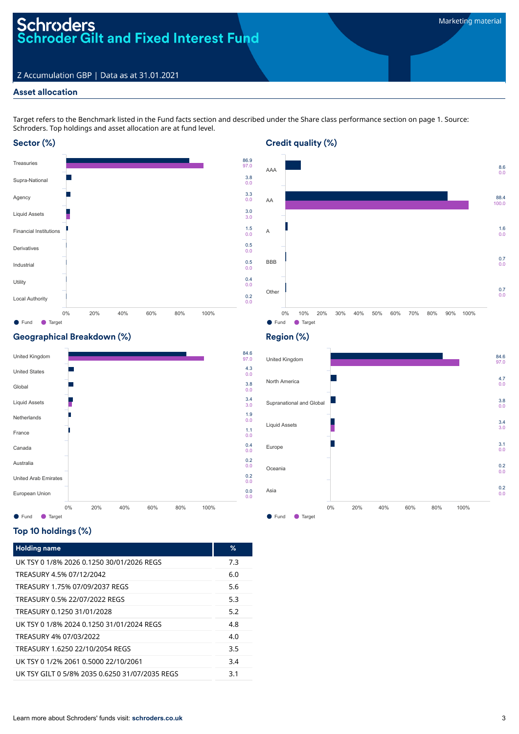# Schroders<br>Schroder Gilt and Fixed Interest Fund

# Z Accumulation GBP | Data as at 31.01.2021

# Asset allocation

Target refers to the Benchmark listed in the Fund facts section and described under the Share class performance section on page 1. Source: Schroders. Top holdings and asset allocation are at fund level.

# Sector (%)





# Geographical Breakdown (%)



# Top 10 holdings (%)

| <b>Holding name</b>                            | ℅   |
|------------------------------------------------|-----|
| UK TSY 0 1/8% 2026 0.1250 30/01/2026 REGS      | 7.3 |
| TREASURY 4.5% 07/12/2042                       | 6.0 |
| TREASURY 1.75% 07/09/2037 REGS                 | 5.6 |
| TREASURY 0.5% 22/07/2022 REGS                  | 5.3 |
| TREASURY 0.1250 31/01/2028                     | 5.2 |
| UK TSY 0 1/8% 2024 0 1250 31/01/2024 REGS      | 4.8 |
| TREASURY 4% 07/03/2022                         | 4.0 |
| TREASURY 1.6250 22/10/2054 REGS                | 3.5 |
| UK TSY 0 1/2% 2061 0.5000 22/10/2061           | 3.4 |
| UK TSY GILT 0 5/8% 2035 0.6250 31/07/2035 REGS | 3.1 |

# Region (%)

Credit quality (%)